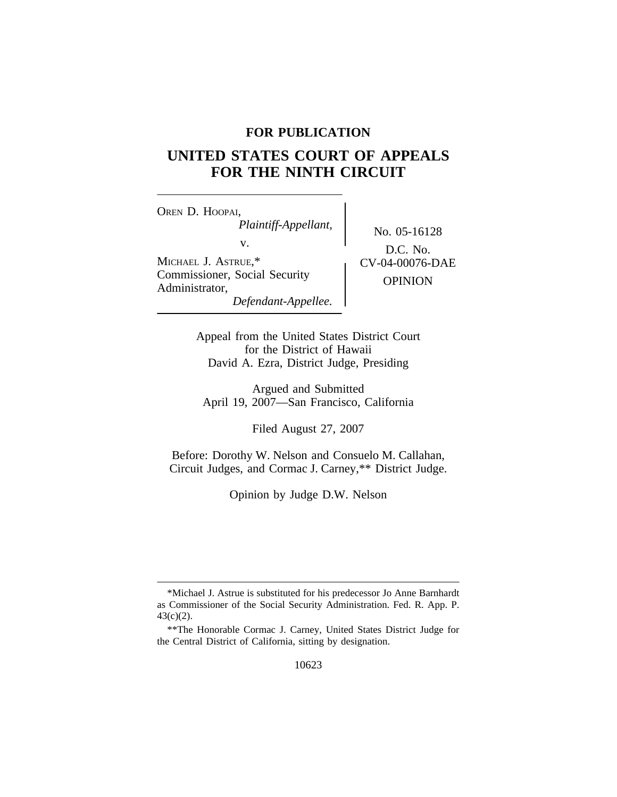# **FOR PUBLICATION**

# **UNITED STATES COURT OF APPEALS FOR THE NINTH CIRCUIT**

<sup>O</sup>REN D. HOOPAI, *Plaintiff-Appellant,* No. 05-16128<br>v.  $\sum_{n=1}^{\infty}$ MICHAEL J. ASTRUE,\* <br>
CV-04-00076-DAE Commissioner, Social Security OPINION Administrator, *Defendant-Appellee.*

D.C. No.

Appeal from the United States District Court for the District of Hawaii David A. Ezra, District Judge, Presiding

Argued and Submitted April 19, 2007—San Francisco, California

Filed August 27, 2007

Before: Dorothy W. Nelson and Consuelo M. Callahan, Circuit Judges, and Cormac J. Carney,\*\* District Judge.

Opinion by Judge D.W. Nelson

<sup>\*</sup>Michael J. Astrue is substituted for his predecessor Jo Anne Barnhardt as Commissioner of the Social Security Administration. Fed. R. App. P. 43(c)(2).

<sup>\*\*</sup>The Honorable Cormac J. Carney, United States District Judge for the Central District of California, sitting by designation.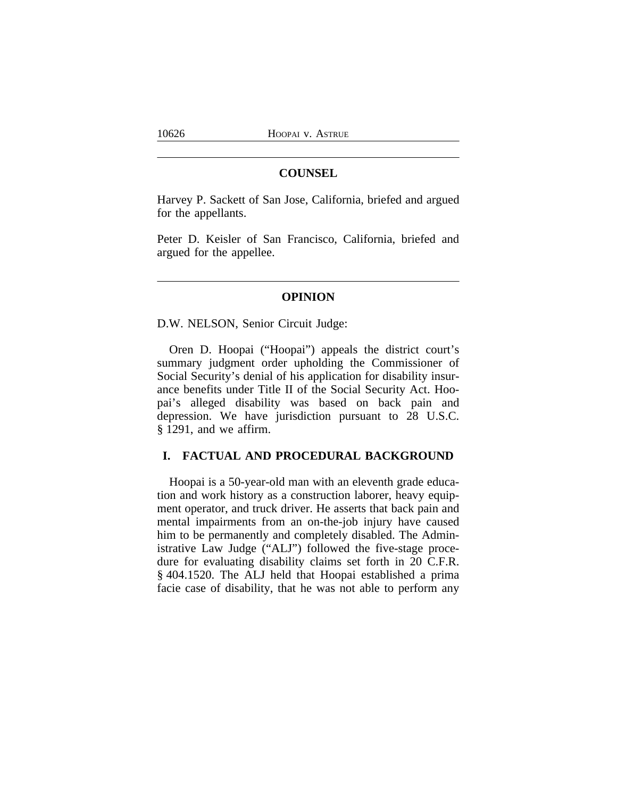### **COUNSEL**

Harvey P. Sackett of San Jose, California, briefed and argued for the appellants.

Peter D. Keisler of San Francisco, California, briefed and argued for the appellee.

#### **OPINION**

D.W. NELSON, Senior Circuit Judge:

Oren D. Hoopai ("Hoopai") appeals the district court's summary judgment order upholding the Commissioner of Social Security's denial of his application for disability insurance benefits under Title II of the Social Security Act. Hoopai's alleged disability was based on back pain and depression. We have jurisdiction pursuant to 28 U.S.C. § 1291, and we affirm.

# **I. FACTUAL AND PROCEDURAL BACKGROUND**

Hoopai is a 50-year-old man with an eleventh grade education and work history as a construction laborer, heavy equipment operator, and truck driver. He asserts that back pain and mental impairments from an on-the-job injury have caused him to be permanently and completely disabled. The Administrative Law Judge ("ALJ") followed the five-stage procedure for evaluating disability claims set forth in 20 C.F.R. § 404.1520. The ALJ held that Hoopai established a prima facie case of disability, that he was not able to perform any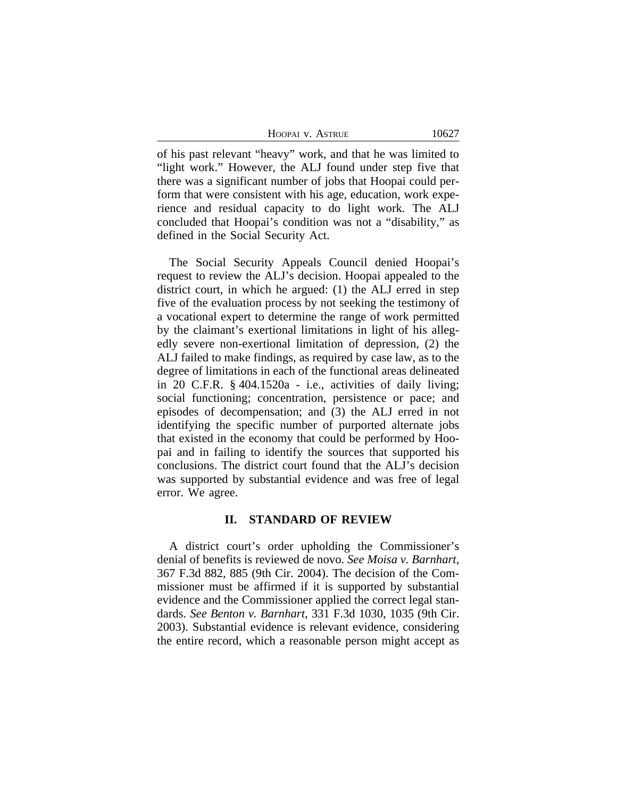of his past relevant "heavy" work, and that he was limited to "light work." However, the ALJ found under step five that there was a significant number of jobs that Hoopai could perform that were consistent with his age, education, work experience and residual capacity to do light work. The ALJ concluded that Hoopai's condition was not a "disability," as defined in the Social Security Act.

The Social Security Appeals Council denied Hoopai's request to review the ALJ's decision. Hoopai appealed to the district court, in which he argued: (1) the ALJ erred in step five of the evaluation process by not seeking the testimony of a vocational expert to determine the range of work permitted by the claimant's exertional limitations in light of his allegedly severe non-exertional limitation of depression, (2) the ALJ failed to make findings, as required by case law, as to the degree of limitations in each of the functional areas delineated in 20 C.F.R. § 404.1520a - i.e., activities of daily living; social functioning; concentration, persistence or pace; and episodes of decompensation; and (3) the ALJ erred in not identifying the specific number of purported alternate jobs that existed in the economy that could be performed by Hoopai and in failing to identify the sources that supported his conclusions. The district court found that the ALJ's decision was supported by substantial evidence and was free of legal error. We agree.

#### **II. STANDARD OF REVIEW**

A district court's order upholding the Commissioner's denial of benefits is reviewed de novo. *See Moisa v. Barnhart*, 367 F.3d 882, 885 (9th Cir. 2004). The decision of the Commissioner must be affirmed if it is supported by substantial evidence and the Commissioner applied the correct legal standards. *See Benton v. Barnhart*, 331 F.3d 1030, 1035 (9th Cir. 2003). Substantial evidence is relevant evidence, considering the entire record, which a reasonable person might accept as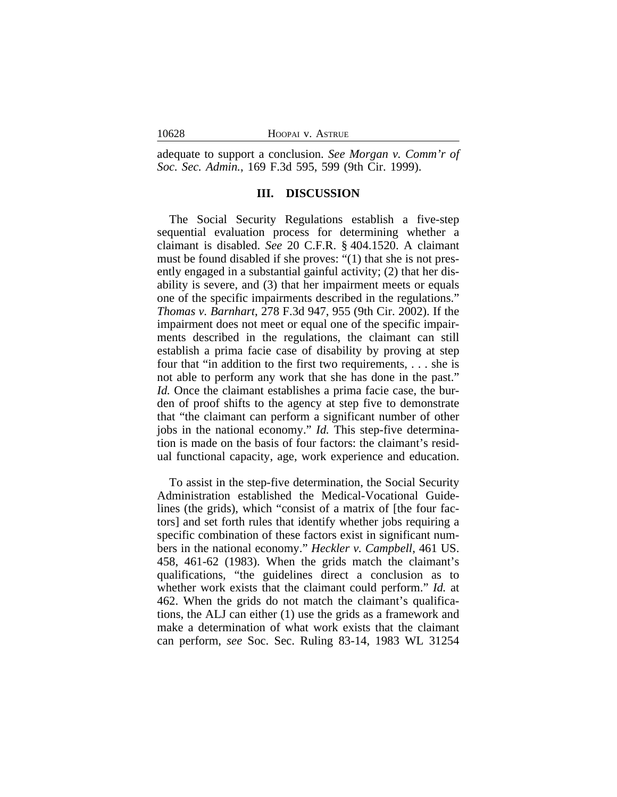| 10628 | HOOPAI V. ASTRUE |
|-------|------------------|
|       |                  |

adequate to support a conclusion. *See Morgan v. Comm'r of Soc. Sec. Admin.*, 169 F.3d 595, 599 (9th Cir. 1999).

## **III. DISCUSSION**

The Social Security Regulations establish a five-step sequential evaluation process for determining whether a claimant is disabled. *See* 20 C.F.R. § 404.1520. A claimant must be found disabled if she proves: "(1) that she is not presently engaged in a substantial gainful activity; (2) that her disability is severe, and (3) that her impairment meets or equals one of the specific impairments described in the regulations." *Thomas v. Barnhart*, 278 F.3d 947, 955 (9th Cir. 2002). If the impairment does not meet or equal one of the specific impairments described in the regulations, the claimant can still establish a prima facie case of disability by proving at step four that "in addition to the first two requirements, . . . she is not able to perform any work that she has done in the past." *Id.* Once the claimant establishes a prima facie case, the burden of proof shifts to the agency at step five to demonstrate that "the claimant can perform a significant number of other jobs in the national economy." *Id.* This step-five determination is made on the basis of four factors: the claimant's residual functional capacity, age, work experience and education.

To assist in the step-five determination, the Social Security Administration established the Medical-Vocational Guidelines (the grids), which "consist of a matrix of [the four factors] and set forth rules that identify whether jobs requiring a specific combination of these factors exist in significant numbers in the national economy." *Heckler v. Campbell*, 461 US. 458, 461-62 (1983). When the grids match the claimant's qualifications, "the guidelines direct a conclusion as to whether work exists that the claimant could perform." *Id.* at 462. When the grids do not match the claimant's qualifications, the ALJ can either (1) use the grids as a framework and make a determination of what work exists that the claimant can perform, *see* Soc. Sec. Ruling 83-14, 1983 WL 31254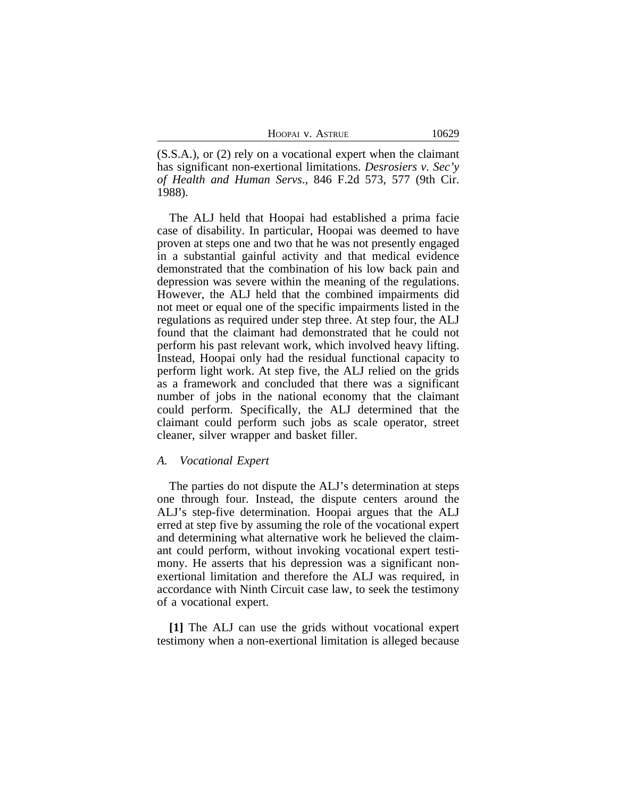(S.S.A.), or (2) rely on a vocational expert when the claimant has significant non-exertional limitations. *Desrosiers v. Sec'y of Health and Human Servs*., 846 F.2d 573, 577 (9th Cir. 1988).

The ALJ held that Hoopai had established a prima facie case of disability. In particular, Hoopai was deemed to have proven at steps one and two that he was not presently engaged in a substantial gainful activity and that medical evidence demonstrated that the combination of his low back pain and depression was severe within the meaning of the regulations. However, the ALJ held that the combined impairments did not meet or equal one of the specific impairments listed in the regulations as required under step three. At step four, the ALJ found that the claimant had demonstrated that he could not perform his past relevant work, which involved heavy lifting. Instead, Hoopai only had the residual functional capacity to perform light work. At step five, the ALJ relied on the grids as a framework and concluded that there was a significant number of jobs in the national economy that the claimant could perform. Specifically, the ALJ determined that the claimant could perform such jobs as scale operator, street cleaner, silver wrapper and basket filler.

#### *A. Vocational Expert*

The parties do not dispute the ALJ's determination at steps one through four. Instead, the dispute centers around the ALJ's step-five determination. Hoopai argues that the ALJ erred at step five by assuming the role of the vocational expert and determining what alternative work he believed the claimant could perform, without invoking vocational expert testimony. He asserts that his depression was a significant nonexertional limitation and therefore the ALJ was required, in accordance with Ninth Circuit case law, to seek the testimony of a vocational expert.

**[1]** The ALJ can use the grids without vocational expert testimony when a non-exertional limitation is alleged because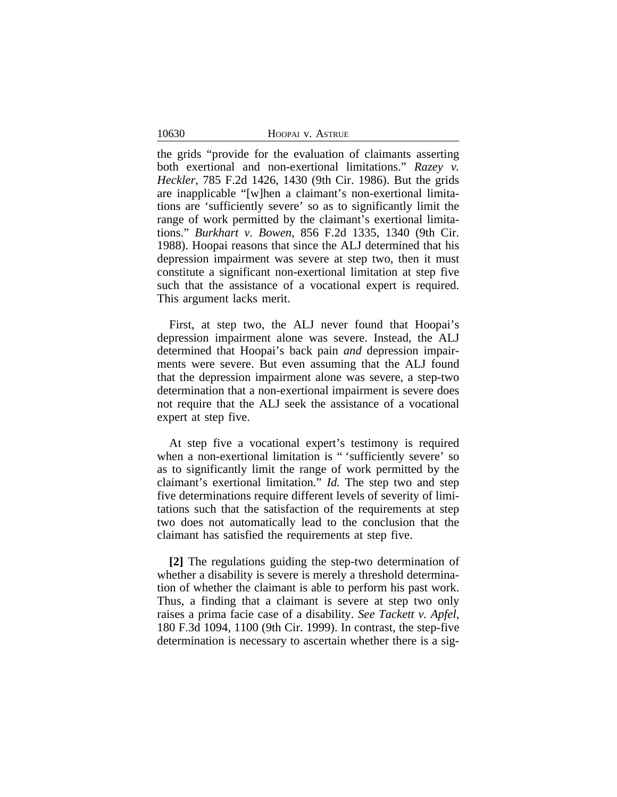10630

the grids "provide for the evaluation of claimants asserting both exertional and non-exertional limitations." *Razey v. Heckler*, 785 F.2d 1426, 1430 (9th Cir. 1986). But the grids are inapplicable "[w]hen a claimant's non-exertional limitations are 'sufficiently severe' so as to significantly limit the range of work permitted by the claimant's exertional limitations." *Burkhart v. Bowen*, 856 F.2d 1335, 1340 (9th Cir. 1988). Hoopai reasons that since the ALJ determined that his depression impairment was severe at step two, then it must constitute a significant non-exertional limitation at step five such that the assistance of a vocational expert is required. This argument lacks merit.

First, at step two, the ALJ never found that Hoopai's depression impairment alone was severe. Instead, the ALJ determined that Hoopai's back pain *and* depression impairments were severe. But even assuming that the ALJ found that the depression impairment alone was severe, a step-two determination that a non-exertional impairment is severe does not require that the ALJ seek the assistance of a vocational expert at step five.

At step five a vocational expert's testimony is required when a non-exertional limitation is " 'sufficiently severe' so as to significantly limit the range of work permitted by the claimant's exertional limitation." *Id.* The step two and step five determinations require different levels of severity of limitations such that the satisfaction of the requirements at step two does not automatically lead to the conclusion that the claimant has satisfied the requirements at step five.

**[2]** The regulations guiding the step-two determination of whether a disability is severe is merely a threshold determination of whether the claimant is able to perform his past work. Thus, a finding that a claimant is severe at step two only raises a prima facie case of a disability. *See Tackett v. Apfel*, 180 F.3d 1094, 1100 (9th Cir. 1999). In contrast, the step-five determination is necessary to ascertain whether there is a sig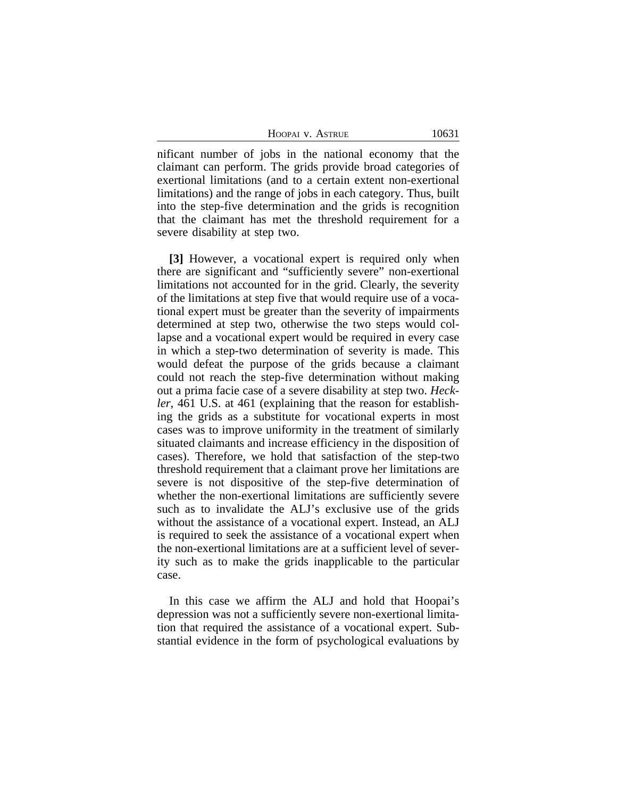HOOPAI V. ASTRUE 10631

nificant number of jobs in the national economy that the claimant can perform. The grids provide broad categories of exertional limitations (and to a certain extent non-exertional limitations) and the range of jobs in each category. Thus, built into the step-five determination and the grids is recognition that the claimant has met the threshold requirement for a severe disability at step two.

**[3]** However, a vocational expert is required only when there are significant and "sufficiently severe" non-exertional limitations not accounted for in the grid. Clearly, the severity of the limitations at step five that would require use of a vocational expert must be greater than the severity of impairments determined at step two, otherwise the two steps would collapse and a vocational expert would be required in every case in which a step-two determination of severity is made. This would defeat the purpose of the grids because a claimant could not reach the step-five determination without making out a prima facie case of a severe disability at step two. *Heckler*, 461 U.S. at 461 (explaining that the reason for establishing the grids as a substitute for vocational experts in most cases was to improve uniformity in the treatment of similarly situated claimants and increase efficiency in the disposition of cases). Therefore, we hold that satisfaction of the step-two threshold requirement that a claimant prove her limitations are severe is not dispositive of the step-five determination of whether the non-exertional limitations are sufficiently severe such as to invalidate the ALJ's exclusive use of the grids without the assistance of a vocational expert. Instead, an ALJ is required to seek the assistance of a vocational expert when the non-exertional limitations are at a sufficient level of severity such as to make the grids inapplicable to the particular case.

In this case we affirm the ALJ and hold that Hoopai's depression was not a sufficiently severe non-exertional limitation that required the assistance of a vocational expert. Substantial evidence in the form of psychological evaluations by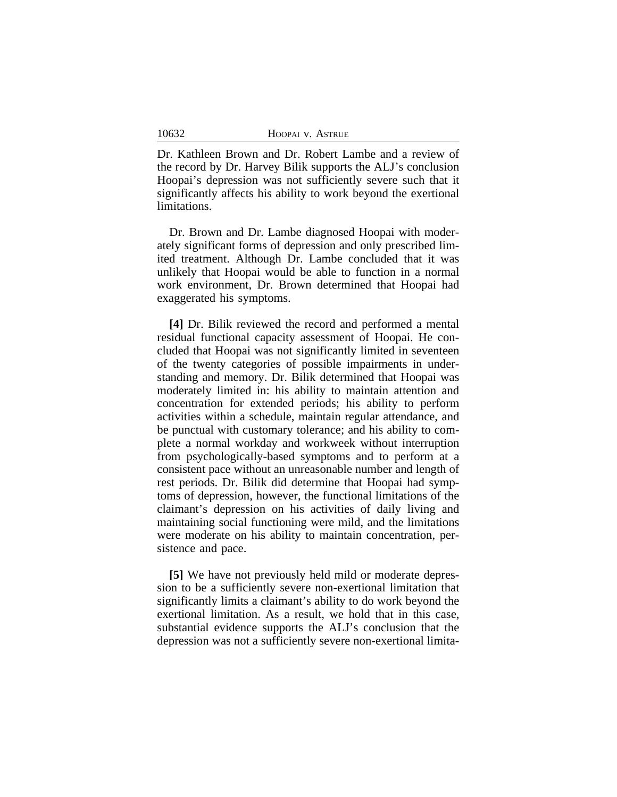| HOOPAI V. ASTRUE |  |
|------------------|--|
|------------------|--|

10632

Dr. Kathleen Brown and Dr. Robert Lambe and a review of the record by Dr. Harvey Bilik supports the ALJ's conclusion Hoopai's depression was not sufficiently severe such that it significantly affects his ability to work beyond the exertional limitations.

Dr. Brown and Dr. Lambe diagnosed Hoopai with moderately significant forms of depression and only prescribed limited treatment. Although Dr. Lambe concluded that it was unlikely that Hoopai would be able to function in a normal work environment, Dr. Brown determined that Hoopai had exaggerated his symptoms.

**[4]** Dr. Bilik reviewed the record and performed a mental residual functional capacity assessment of Hoopai. He concluded that Hoopai was not significantly limited in seventeen of the twenty categories of possible impairments in understanding and memory. Dr. Bilik determined that Hoopai was moderately limited in: his ability to maintain attention and concentration for extended periods; his ability to perform activities within a schedule, maintain regular attendance, and be punctual with customary tolerance; and his ability to complete a normal workday and workweek without interruption from psychologically-based symptoms and to perform at a consistent pace without an unreasonable number and length of rest periods. Dr. Bilik did determine that Hoopai had symptoms of depression, however, the functional limitations of the claimant's depression on his activities of daily living and maintaining social functioning were mild, and the limitations were moderate on his ability to maintain concentration, persistence and pace.

**[5]** We have not previously held mild or moderate depression to be a sufficiently severe non-exertional limitation that significantly limits a claimant's ability to do work beyond the exertional limitation. As a result, we hold that in this case, substantial evidence supports the ALJ's conclusion that the depression was not a sufficiently severe non-exertional limita-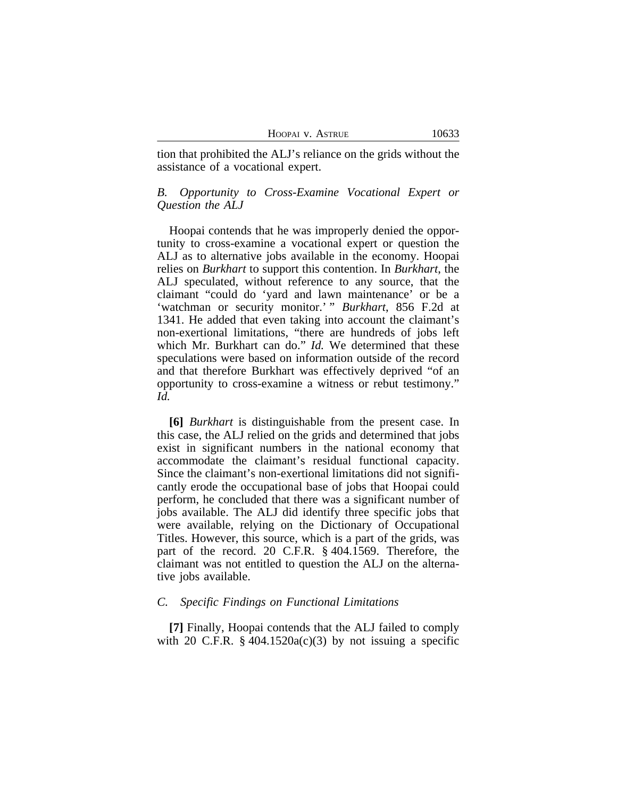|  |  | HOOPAI V. ASTRUE |
|--|--|------------------|
|--|--|------------------|

tion that prohibited the ALJ's reliance on the grids without the assistance of a vocational expert.

## *B. Opportunity to Cross-Examine Vocational Expert or Question the ALJ*

Hoopai contends that he was improperly denied the opportunity to cross-examine a vocational expert or question the ALJ as to alternative jobs available in the economy. Hoopai relies on *Burkhart* to support this contention. In *Burkhart*, the ALJ speculated, without reference to any source, that the claimant "could do 'yard and lawn maintenance' or be a 'watchman or security monitor.' " Burkhart, 856 F.2d at 1341. He added that even taking into account the claimant's non-exertional limitations, "there are hundreds of jobs left which Mr. Burkhart can do." *Id.* We determined that these speculations were based on information outside of the record and that therefore Burkhart was effectively deprived "of an opportunity to cross-examine a witness or rebut testimony." *Id.* 

**[6]** *Burkhart* is distinguishable from the present case. In this case, the ALJ relied on the grids and determined that jobs exist in significant numbers in the national economy that accommodate the claimant's residual functional capacity. Since the claimant's non-exertional limitations did not significantly erode the occupational base of jobs that Hoopai could perform, he concluded that there was a significant number of jobs available. The ALJ did identify three specific jobs that were available, relying on the Dictionary of Occupational Titles. However, this source, which is a part of the grids, was part of the record. 20 C.F.R. § 404.1569. Therefore, the claimant was not entitled to question the ALJ on the alternative jobs available.

#### *C. Specific Findings on Functional Limitations*

**[7]** Finally, Hoopai contends that the ALJ failed to comply with 20 C.F.R.  $\S$  404.1520a(c)(3) by not issuing a specific